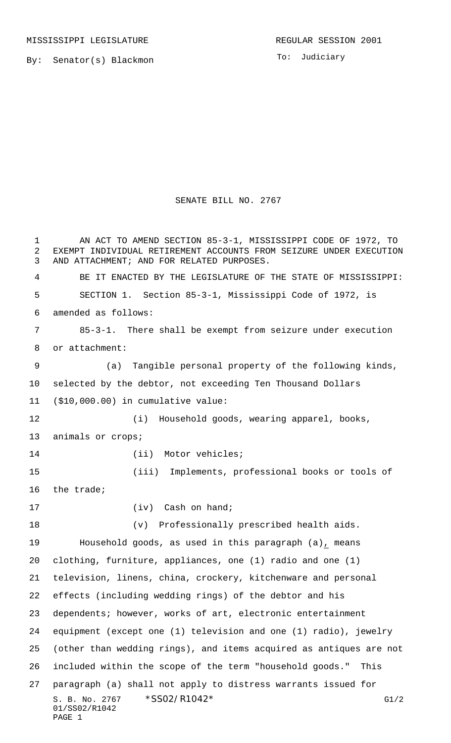MISSISSIPPI LEGISLATURE **REGULAR SESSION 2001** 

By: Senator(s) Blackmon

To: Judiciary

## SENATE BILL NO. 2767

S. B. No. 2767 \* SS02/R1042\* G1/2 01/SS02/R1042 PAGE 1 AN ACT TO AMEND SECTION 85-3-1, MISSISSIPPI CODE OF 1972, TO EXEMPT INDIVIDUAL RETIREMENT ACCOUNTS FROM SEIZURE UNDER EXECUTION AND ATTACHMENT; AND FOR RELATED PURPOSES. BE IT ENACTED BY THE LEGISLATURE OF THE STATE OF MISSISSIPPI: SECTION 1. Section 85-3-1, Mississippi Code of 1972, is amended as follows: 85-3-1. There shall be exempt from seizure under execution or attachment: (a) Tangible personal property of the following kinds, selected by the debtor, not exceeding Ten Thousand Dollars (\$10,000.00) in cumulative value: (i) Household goods, wearing apparel, books, animals or crops; 14 (ii) Motor vehicles; (iii) Implements, professional books or tools of the trade; 17 (iv) Cash on hand; (v) Professionally prescribed health aids. Household goods, as used in this paragraph (a), means clothing, furniture, appliances, one (1) radio and one (1) television, linens, china, crockery, kitchenware and personal effects (including wedding rings) of the debtor and his dependents; however, works of art, electronic entertainment equipment (except one (1) television and one (1) radio), jewelry (other than wedding rings), and items acquired as antiques are not included within the scope of the term "household goods." This paragraph (a) shall not apply to distress warrants issued for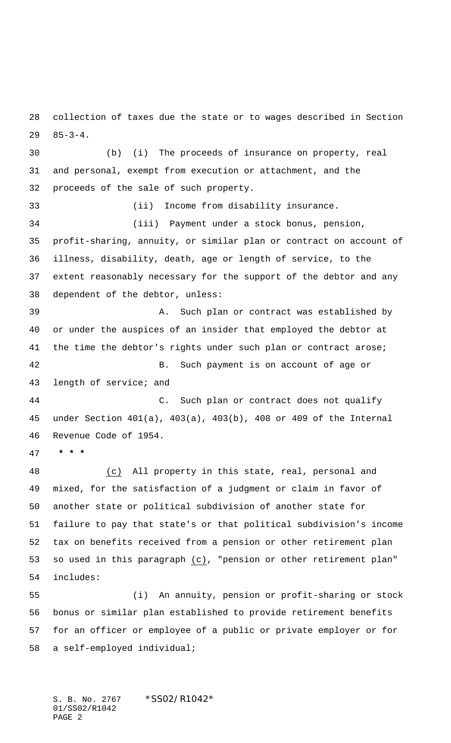collection of taxes due the state or to wages described in Section 85-3-4.

 (b) (i) The proceeds of insurance on property, real and personal, exempt from execution or attachment, and the proceeds of the sale of such property. (ii) Income from disability insurance. (iii) Payment under a stock bonus, pension, profit-sharing, annuity, or similar plan or contract on account of illness, disability, death, age or length of service, to the extent reasonably necessary for the support of the debtor and any dependent of the debtor, unless: A. Such plan or contract was established by or under the auspices of an insider that employed the debtor at 41 the time the debtor's rights under such plan or contract arose; B. Such payment is on account of age or length of service; and C. Such plan or contract does not qualify under Section 401(a), 403(a), 403(b), 408 or 409 of the Internal Revenue Code of 1954.  **\* \* \*** (c) All property in this state, real, personal and

 mixed, for the satisfaction of a judgment or claim in favor of another state or political subdivision of another state for failure to pay that state's or that political subdivision's income tax on benefits received from a pension or other retirement plan so used in this paragraph (c), "pension or other retirement plan" includes:

 (i) An annuity, pension or profit-sharing or stock bonus or similar plan established to provide retirement benefits for an officer or employee of a public or private employer or for a self-employed individual;

S. B. No. 2767 \* SS02/R1042\* 01/SS02/R1042 PAGE 2